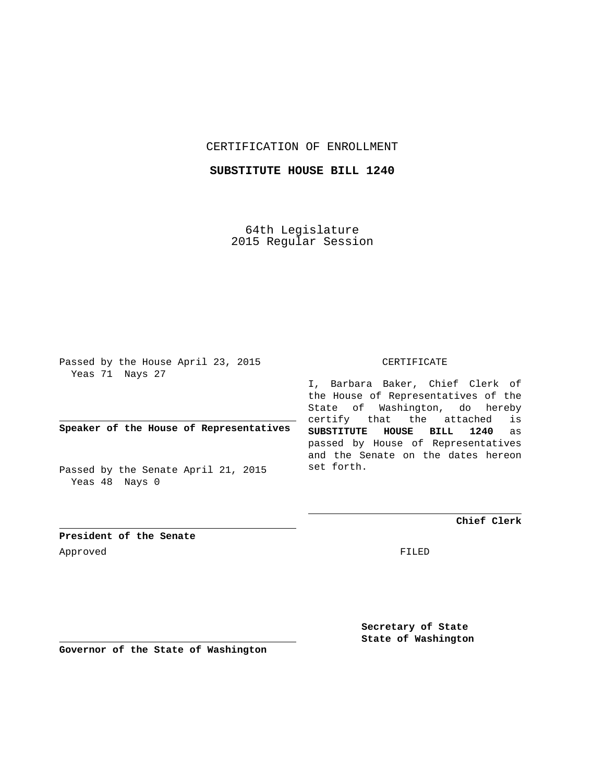# CERTIFICATION OF ENROLLMENT

# **SUBSTITUTE HOUSE BILL 1240**

64th Legislature 2015 Regular Session

Passed by the House April 23, 2015 Yeas 71 Nays 27

**Speaker of the House of Representatives**

Passed by the Senate April 21, 2015 Yeas 48 Nays 0

#### CERTIFICATE

I, Barbara Baker, Chief Clerk of the House of Representatives of the State of Washington, do hereby certify that the attached is **SUBSTITUTE HOUSE BILL 1240** as passed by House of Representatives and the Senate on the dates hereon set forth.

**Chief Clerk**

**President of the Senate** Approved FILED

> **Secretary of State State of Washington**

**Governor of the State of Washington**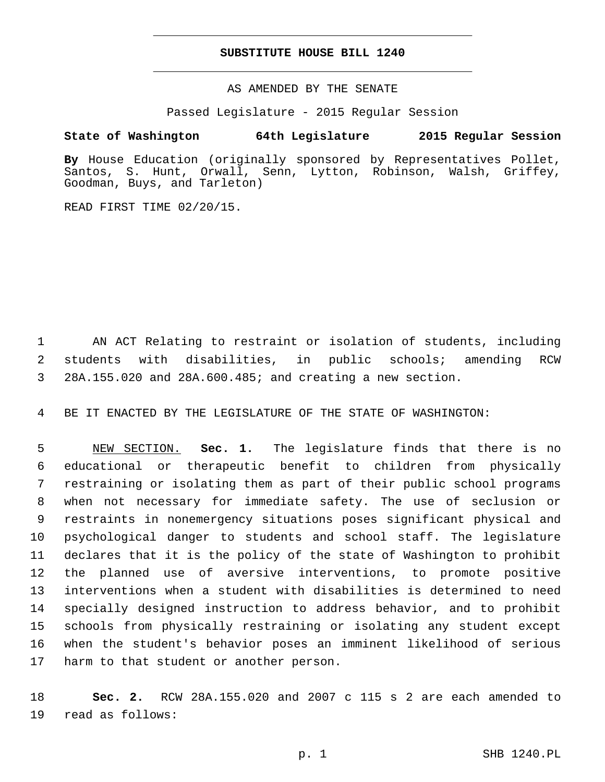### **SUBSTITUTE HOUSE BILL 1240**

AS AMENDED BY THE SENATE

Passed Legislature - 2015 Regular Session

# **State of Washington 64th Legislature 2015 Regular Session**

**By** House Education (originally sponsored by Representatives Pollet, Santos, S. Hunt, Orwall, Senn, Lytton, Robinson, Walsh, Griffey, Goodman, Buys, and Tarleton)

READ FIRST TIME 02/20/15.

 AN ACT Relating to restraint or isolation of students, including students with disabilities, in public schools; amending RCW 28A.155.020 and 28A.600.485; and creating a new section.

BE IT ENACTED BY THE LEGISLATURE OF THE STATE OF WASHINGTON:

 NEW SECTION. **Sec. 1.** The legislature finds that there is no educational or therapeutic benefit to children from physically restraining or isolating them as part of their public school programs when not necessary for immediate safety. The use of seclusion or restraints in nonemergency situations poses significant physical and psychological danger to students and school staff. The legislature declares that it is the policy of the state of Washington to prohibit the planned use of aversive interventions, to promote positive interventions when a student with disabilities is determined to need specially designed instruction to address behavior, and to prohibit schools from physically restraining or isolating any student except when the student's behavior poses an imminent likelihood of serious harm to that student or another person.

 **Sec. 2.** RCW 28A.155.020 and 2007 c 115 s 2 are each amended to 19 read as follows: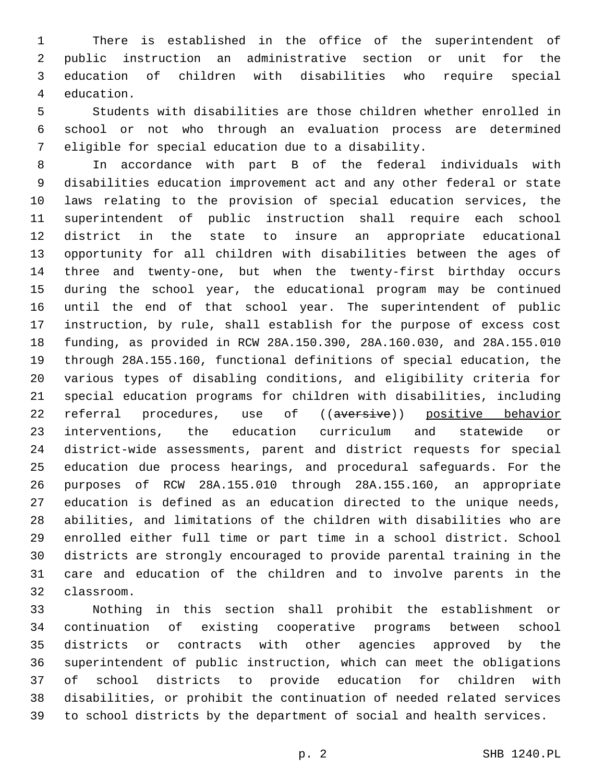There is established in the office of the superintendent of public instruction an administrative section or unit for the education of children with disabilities who require special 4 education.

 Students with disabilities are those children whether enrolled in school or not who through an evaluation process are determined eligible for special education due to a disability.

 In accordance with part B of the federal individuals with disabilities education improvement act and any other federal or state laws relating to the provision of special education services, the superintendent of public instruction shall require each school district in the state to insure an appropriate educational opportunity for all children with disabilities between the ages of three and twenty-one, but when the twenty-first birthday occurs during the school year, the educational program may be continued until the end of that school year. The superintendent of public instruction, by rule, shall establish for the purpose of excess cost funding, as provided in RCW 28A.150.390, 28A.160.030, and 28A.155.010 through 28A.155.160, functional definitions of special education, the various types of disabling conditions, and eligibility criteria for special education programs for children with disabilities, including 22 referral procedures, use of ((aversive)) positive behavior interventions, the education curriculum and statewide or district-wide assessments, parent and district requests for special education due process hearings, and procedural safeguards. For the purposes of RCW 28A.155.010 through 28A.155.160, an appropriate education is defined as an education directed to the unique needs, abilities, and limitations of the children with disabilities who are enrolled either full time or part time in a school district. School districts are strongly encouraged to provide parental training in the care and education of the children and to involve parents in the classroom.32

 Nothing in this section shall prohibit the establishment or continuation of existing cooperative programs between school districts or contracts with other agencies approved by the superintendent of public instruction, which can meet the obligations of school districts to provide education for children with disabilities, or prohibit the continuation of needed related services to school districts by the department of social and health services.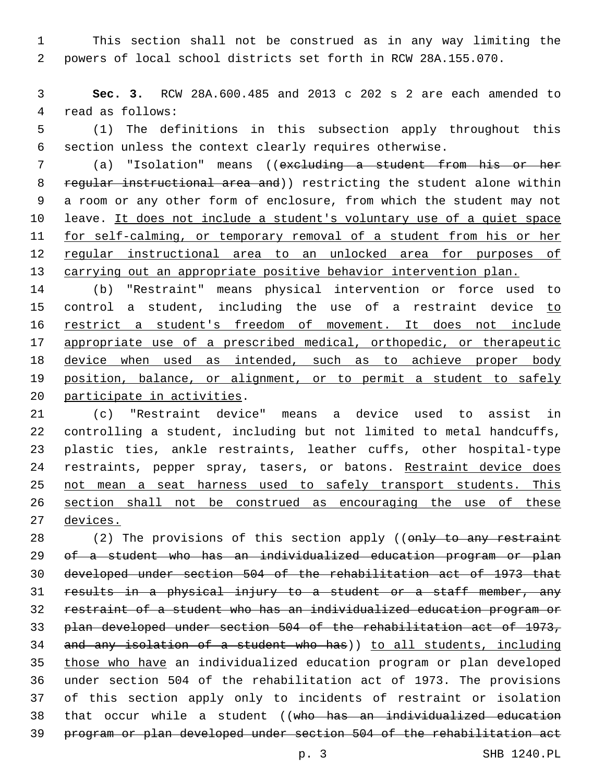This section shall not be construed as in any way limiting the powers of local school districts set forth in RCW 28A.155.070.

 **Sec. 3.** RCW 28A.600.485 and 2013 c 202 s 2 are each amended to 4 read as follows:

 (1) The definitions in this subsection apply throughout this section unless the context clearly requires otherwise.

 (a) "Isolation" means ((excluding a student from his or her 8 regular instructional area and)) restricting the student alone within a room or any other form of enclosure, from which the student may not 10 leave. It does not include a student's voluntary use of a quiet space for self-calming, or temporary removal of a student from his or her regular instructional area to an unlocked area for purposes of 13 carrying out an appropriate positive behavior intervention plan.

 (b) "Restraint" means physical intervention or force used to 15 control a student, including the use of a restraint device to restrict a student's freedom of movement. It does not include appropriate use of a prescribed medical, orthopedic, or therapeutic 18 device when used as intended, such as to achieve proper body position, balance, or alignment, or to permit a student to safely 20 participate in activities.

 (c) "Restraint device" means a device used to assist in controlling a student, including but not limited to metal handcuffs, plastic ties, ankle restraints, leather cuffs, other hospital-type 24 restraints, pepper spray, tasers, or batons. Restraint device does not mean a seat harness used to safely transport students. This section shall not be construed as encouraging the use of these devices.

28 (2) The provisions of this section apply ((only to any restraint of a student who has an individualized education program or plan developed under section 504 of the rehabilitation act of 1973 that results in a physical injury to a student or a staff member, any restraint of a student who has an individualized education program or plan developed under section 504 of the rehabilitation act of 1973, and any isolation of a student who has)) to all students, including those who have an individualized education program or plan developed under section 504 of the rehabilitation act of 1973. The provisions of this section apply only to incidents of restraint or isolation that occur while a student ((who has an individualized education program or plan developed under section 504 of the rehabilitation act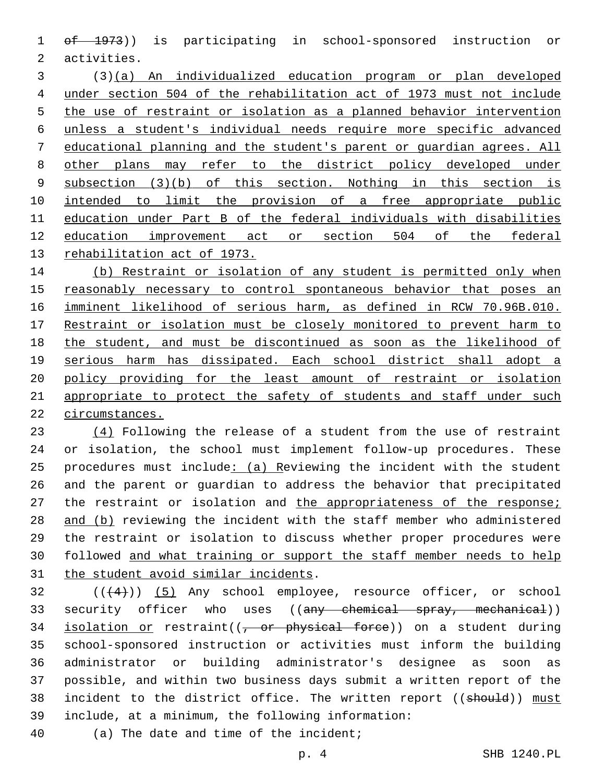of 1973)) is participating in school-sponsored instruction or 2 activities.

 (3)(a) An individualized education program or plan developed under section 504 of the rehabilitation act of 1973 must not include the use of restraint or isolation as a planned behavior intervention unless a student's individual needs require more specific advanced educational planning and the student's parent or guardian agrees. All other plans may refer to the district policy developed under subsection (3)(b) of this section. Nothing in this section is 10 intended to limit the provision of a free appropriate public education under Part B of the federal individuals with disabilities education improvement act or section 504 of the federal rehabilitation act of 1973.

 (b) Restraint or isolation of any student is permitted only when reasonably necessary to control spontaneous behavior that poses an imminent likelihood of serious harm, as defined in RCW 70.96B.010. Restraint or isolation must be closely monitored to prevent harm to the student, and must be discontinued as soon as the likelihood of serious harm has dissipated. Each school district shall adopt a policy providing for the least amount of restraint or isolation 21 appropriate to protect the safety of students and staff under such circumstances.

 (4) Following the release of a student from the use of restraint or isolation, the school must implement follow-up procedures. These 25 procedures must include: (a) Reviewing the incident with the student and the parent or guardian to address the behavior that precipitated 27 the restraint or isolation and the appropriateness of the response; 28 and (b) reviewing the incident with the staff member who administered the restraint or isolation to discuss whether proper procedures were followed and what training or support the staff member needs to help 31 the student avoid similar incidents.

  $((+4))$   $(5)$  Any school employee, resource officer, or school 33 security officer who uses ((any chemical spray, mechanical)) 34 isolation or restraint( $(-$  or physical force)) on a student during school-sponsored instruction or activities must inform the building administrator or building administrator's designee as soon as possible, and within two business days submit a written report of the 38 incident to the district office. The written report ((should)) must include, at a minimum, the following information:39

40 (a) The date and time of the incident;